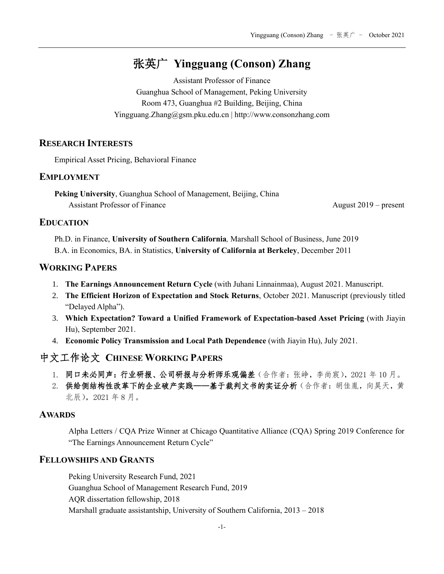# 张英广 **Yingguang (Conson) Zhang**

Assistant Professor of Finance Guanghua School of Management, Peking University Room 473, Guanghua #2 Building, Beijing, China Yingguang.Zhang@gsm.pku.edu.cn | http://www.consonzhang.com

### **RESEARCH INTERESTS**

Empirical Asset Pricing, Behavioral Finance

#### **EMPLOYMENT**

**Peking University**, Guanghua School of Management, Beijing, China Assistant Professor of Finance **August 2019** – present

#### **EDUCATION**

Ph.D. in Finance, **University of Southern California***,* Marshall School of Business, June 2019 B.A. in Economics, BA. in Statistics, **University of California at Berkeley**, December 2011

### **WORKING PAPERS**

- 1. **The Earnings Announcement Return Cycle** (with Juhani Linnainmaa), August 2021. Manuscript.
- 2. **The Efficient Horizon of Expectation and Stock Returns**, October 2021. Manuscript (previously titled "Delayed Alpha").
- 3. **Which Expectation? Toward a Unified Framework of Expectation-based Asset Pricing** (with Jiayin Hu), September 2021.
- 4. **Economic Policy Transmission and Local Path Dependence** (with Jiayin Hu), July 2021.

## 中文工作论文 **CHINESE WORKING PAPERS**

- 1. 同口未必同声:行业研报、公司研报与分析师乐观偏差(合作者:张峥,李尚宸),2021 年 10 月。
- 2. 供给侧结构性改革下的企业破产实践 -- 基于裁判文书的实证分析(合作者:胡佳胤,向昊天,黄 北辰),2021 年 8 月。

### **AWARDS**

Alpha Letters / CQA Prize Winner at Chicago Quantitative Alliance (CQA) Spring 2019 Conference for "The Earnings Announcement Return Cycle"

### **FELLOWSHIPS AND GRANTS**

Peking University Research Fund, 2021 Guanghua School of Management Research Fund, 2019 AQR dissertation fellowship, 2018 Marshall graduate assistantship, University of Southern California, 2013 – 2018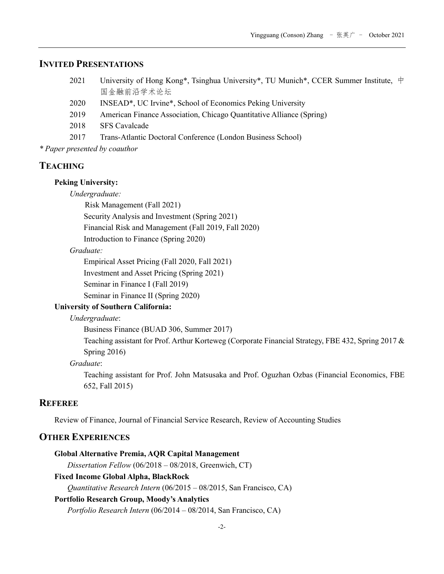### **INVITED PRESENTATIONS**

- 2021 University of Hong Kong\*, Tsinghua University\*, TU Munich\*, CCER Summer Institute, 中 国金融前沿学术论坛
- 2020 INSEAD\*, UC Irvine\*, School of Economics Peking University
- 2019 American Finance Association, Chicago Quantitative Alliance (Spring)
- 2018 SFS Cavalcade
- 2017 Trans-Atlantic Doctoral Conference (London Business School)

*\* Paper presented by coauthor*

#### **TEACHING**

#### **Peking University:**

*Undergraduate:*

Risk Management (Fall 2021)

Security Analysis and Investment (Spring 2021)

Financial Risk and Management (Fall 2019, Fall 2020)

Introduction to Finance (Spring 2020)

#### *Graduate:*

Empirical Asset Pricing (Fall 2020, Fall 2021)

Investment and Asset Pricing (Spring 2021)

Seminar in Finance I (Fall 2019)

Seminar in Finance II (Spring 2020)

#### **University of Southern California:**

*Undergraduate*:

Business Finance (BUAD 306, Summer 2017)

Teaching assistant for Prof. Arthur Korteweg (Corporate Financial Strategy, FBE 432, Spring 2017 & Spring 2016)

#### *Graduate*:

Teaching assistant for Prof. John Matsusaka and Prof. Oguzhan Ozbas (Financial Economics, FBE 652, Fall 2015)

## **REFEREE**

Review of Finance, Journal of Financial Service Research, Review of Accounting Studies

#### **OTHER EXPERIENCES**

**Global Alternative Premia, AQR Capital Management**  *Dissertation Fellow* (06/2018 – 08/2018, Greenwich, CT) **Fixed Income Global Alpha, BlackRock** *Quantitative Research Intern* (06/2015 – 08/2015, San Francisco, CA) **Portfolio Research Group, Moody's Analytics** *Portfolio Research Intern* (06/2014 – 08/2014, San Francisco, CA)